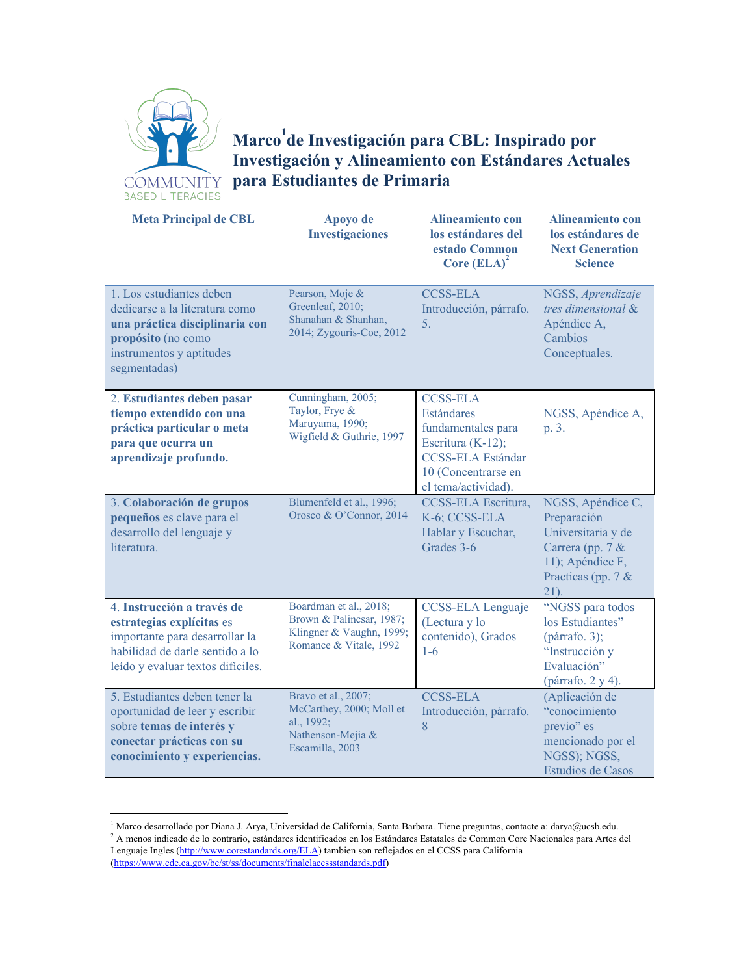

## **Marco de Investigación para CBL: Inspirado por 1 Investigación y Alineamiento con Estándares Actuales para Estudiantes de Primaria**

| <b>Meta Principal de CBL</b>                                                                                                                                      | Apoyo de<br><b>Investigaciones</b>                                                                       | <b>Alineamiento con</b><br>los estándares del<br>estado Common<br>Core $(ELA)^2$                                                                          | <b>Alineamiento con</b><br>los estándares de<br><b>Next Generation</b><br><b>Science</b>                                            |
|-------------------------------------------------------------------------------------------------------------------------------------------------------------------|----------------------------------------------------------------------------------------------------------|-----------------------------------------------------------------------------------------------------------------------------------------------------------|-------------------------------------------------------------------------------------------------------------------------------------|
| 1. Los estudiantes deben<br>dedicarse a la literatura como<br>una práctica disciplinaria con<br>propósito (no como<br>instrumentos y aptitudes<br>segmentadas)    | Pearson, Moje &<br>Greenleaf, 2010;<br>Shanahan & Shanhan,<br>2014; Zygouris-Coe, 2012                   | <b>CCSS-ELA</b><br>Introducción, párrafo.<br>5.                                                                                                           | NGSS, Aprendizaje<br>tres dimensional &<br>Apéndice A,<br>Cambios<br>Conceptuales.                                                  |
| 2. Estudiantes deben pasar<br>tiempo extendido con una<br>práctica particular o meta<br>para que ocurra un<br>aprendizaje profundo.                               | Cunningham, 2005;<br>Taylor, Frye &<br>Maruyama, 1990;<br>Wigfield & Guthrie, 1997                       | <b>CCSS-ELA</b><br><b>Estándares</b><br>fundamentales para<br>Escritura (K-12);<br><b>CCSS-ELA Estándar</b><br>10 (Concentrarse en<br>el tema/actividad). | NGSS, Apéndice A,<br>p. 3.                                                                                                          |
| 3. Colaboración de grupos<br>pequeños es clave para el<br>desarrollo del lenguaje y<br>literatura.                                                                | Blumenfeld et al., 1996;<br>Orosco & O'Connor, 2014                                                      | CCSS-ELA Escritura,<br>K-6; CCSS-ELA<br>Hablar y Escuchar,<br>Grades 3-6                                                                                  | NGSS, Apéndice C,<br>Preparación<br>Universitaria y de<br>Carrera (pp. $7 &$<br>11); Apéndice F,<br>Practicas (pp. 7 $&$<br>$21$ ). |
| 4. Instrucción a través de<br>estrategias explícitas es<br>importante para desarrollar la<br>habilidad de darle sentido a lo<br>leído y evaluar textos difíciles. | Boardman et al., 2018;<br>Brown & Palincsar, 1987;<br>Klingner & Vaughn, 1999;<br>Romance & Vitale, 1992 | CCSS-ELA Lenguaje<br>(Lectura y lo<br>contenido), Grados<br>$1-6$                                                                                         | "NGSS para todos<br>los Estudiantes"<br>(párrafo. 3);<br>"Instrucción y<br>Evaluación"<br>(párrafo. 2 y 4).                         |
| 5. Estudiantes deben tener la<br>oportunidad de leer y escribir<br>sobre temas de interés y<br>conectar prácticas con su<br>conocimiento y experiencias.          | Bravo et al., 2007;<br>McCarthey, 2000; Moll et<br>al., $1992$ ;<br>Nathenson-Mejia &<br>Escamilla, 2003 | <b>CCSS-ELA</b><br>Introducción, párrafo.<br>8                                                                                                            | (Aplicación de<br>"conocimiento<br>previo" es<br>mencionado por el<br>NGSS); NGSS,<br><b>Estudios de Casos</b>                      |

 $1$  Marco desarrollado por Diana J. Arya, Universidad de California, Santa Barbara. Tiene preguntas, contacte a: darya@ucsb.edu.

<sup>&</sup>lt;sup>2</sup> A menos indicado de lo contrario, estándares identificados en los Estándares Estatales de Common Core Nacionales para Artes del Lenguaje Ingles ([http://www.corestandards.org/ELA\)](http://www.corestandards.org/ELA) tambien son reflejados en el CCSS para California ([https://www.cde.ca.gov/be/st/ss/documents/finalelaccssstandards.pdf\)](https://www.cde.ca.gov/be/st/ss/documents/finalelaccssstandards.pdf)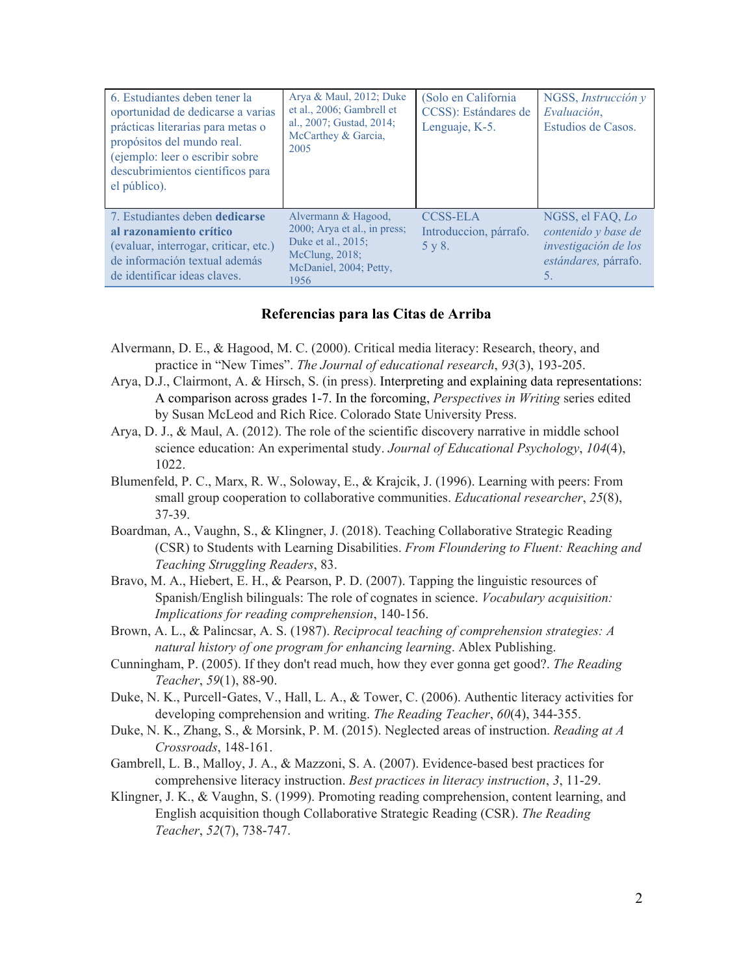| 6. Estudiantes deben tener la<br>oportunidad de dedicarse a varias<br>prácticas literarias para metas o<br>propósitos del mundo real.<br>(ejemplo: leer o escribir sobre<br>descubrimientos científicos para<br>el público). | Arya & Maul, 2012; Duke<br>et al., 2006; Gambrell et<br>al., 2007; Gustad, 2014;<br>McCarthey & Garcia,<br>2005                  | (Solo en California)<br>CCSS): Estándares de<br>Lenguaje, K-5. | NGSS, Instrucción y<br>Evaluación,<br>Estudios de Casos.                                      |
|------------------------------------------------------------------------------------------------------------------------------------------------------------------------------------------------------------------------------|----------------------------------------------------------------------------------------------------------------------------------|----------------------------------------------------------------|-----------------------------------------------------------------------------------------------|
| 7. Estudiantes deben dedicarse<br>al razonamiento crítico<br>(evaluar, interrogar, criticar, etc.)<br>de información textual además<br>de identificar ideas claves.                                                          | Alvermann & Hagood,<br>$2000$ ; Arya et al., in press;<br>Duke et al., 2015;<br>McClung, 2018;<br>McDaniel, 2004; Petty,<br>1956 | <b>CCSS-ELA</b><br>Introduccion, párrafo.<br>5 y 8.            | NGSS, el FAQ, Lo<br>contenido y base de<br>investigación de los<br>estándares, párrafo.<br>5. |

## **Referencias para las Citas de Arriba**

- Alvermann, D. E., & Hagood, M. C. (2000). Critical media literacy: Research, theory, and practice in "New Times". *The Journal of educational research*, *93*(3), 193-205.
- Arya, D.J., Clairmont, A. & Hirsch, S. (in press). Interpreting and explaining data representations: A comparison across grades 1-7. In the forcoming, *Perspectives in Writing* series edited by Susan McLeod and Rich Rice. Colorado State University Press.
- Arya, D. J., & Maul, A. (2012). The role of the scientific discovery narrative in middle school science education: An experimental study. *Journal of Educational Psychology*, *104*(4), 1022.
- Blumenfeld, P. C., Marx, R. W., Soloway, E., & Krajcik, J. (1996). Learning with peers: From small group cooperation to collaborative communities. *Educational researcher*, *25*(8), 37-39.
- Boardman, A., Vaughn, S., & Klingner, J. (2018). Teaching Collaborative Strategic Reading (CSR) to Students with Learning Disabilities. *From Floundering to Fluent: Reaching and Teaching Struggling Readers*, 83.
- Bravo, M. A., Hiebert, E. H., & Pearson, P. D. (2007). Tapping the linguistic resources of Spanish/English bilinguals: The role of cognates in science. *Vocabulary acquisition: Implications for reading comprehension*, 140-156.
- Brown, A. L., & Palincsar, A. S. (1987). *Reciprocal teaching of comprehension strategies: A natural history of one program for enhancing learning*. Ablex Publishing.
- Cunningham, P. (2005). If they don't read much, how they ever gonna get good?. *The Reading Teacher*, *59*(1), 88-90.
- Duke, N. K., Purcell-Gates, V., Hall, L. A., & Tower, C. (2006). Authentic literacy activities for developing comprehension and writing. *The Reading Teacher*, *60*(4), 344-355.
- Duke, N. K., Zhang, S., & Morsink, P. M. (2015). Neglected areas of instruction. *Reading at A Crossroads*, 148-161.
- Gambrell, L. B., Malloy, J. A., & Mazzoni, S. A. (2007). Evidence-based best practices for comprehensive literacy instruction. *Best practices in literacy instruction*, *3*, 11-29.
- Klingner, J. K., & Vaughn, S. (1999). Promoting reading comprehension, content learning, and English acquisition though Collaborative Strategic Reading (CSR). *The Reading Teacher*, *52*(7), 738-747.